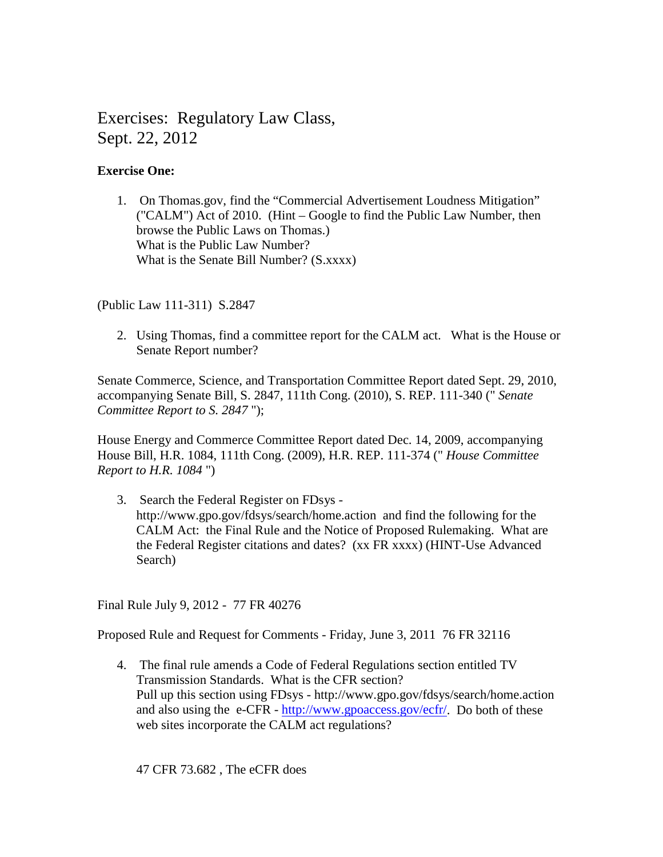# Exercises: Regulatory Law Class, Sept. 22, 2012

# **Exercise One:**

1. On Thomas.gov, find the "Commercial Advertisement Loudness Mitigation" ("CALM") Act of 2010. (Hint – Google to find the Public Law Number, then browse the Public Laws on Thomas.) What is the Public Law Number? What is the Senate Bill Number? (S.xxxx)

(Public Law 111-311) S.2847

2. Using Thomas, find a committee report for the CALM act. What is the House or Senate Report number?

Senate Commerce, Science, and Transportation Committee Report dated Sept. 29, 2010, accompanying Senate Bill, S. 2847, 111th Cong. (2010), S. REP. 111-340 (" *Senate Committee Report to S. 2847* ");

House Energy and Commerce Committee Report dated Dec. 14, 2009, accompanying House Bill, H.R. 1084, 111th Cong. (2009), H.R. REP. 111-374 (" *House Committee Report to H.R. 1084* ")

3. Search the Federal Register on FDsys http://www.gpo.gov/fdsys/search/home.action and find the following for the CALM Act: the Final Rule and the Notice of Proposed Rulemaking. What are the Federal Register citations and dates? (xx FR xxxx) (HINT-Use Advanced Search)

Final Rule July 9, 2012 - 77 FR 40276

Proposed Rule and Request for Comments - Friday, June 3, 2011 76 FR 32116

4. The final rule amends a Code of Federal Regulations section entitled TV Transmission Standards. What is the CFR section? Pull up this section using FDsys - http://www.gpo.gov/fdsys/search/home.action and also using the e-CFR - [http://www.gpoaccess.gov/ecfr/.](http://www.gpoaccess.gov/ecfr/) Do both of these web sites incorporate the CALM act regulations?

47 CFR 73.682 , The eCFR does